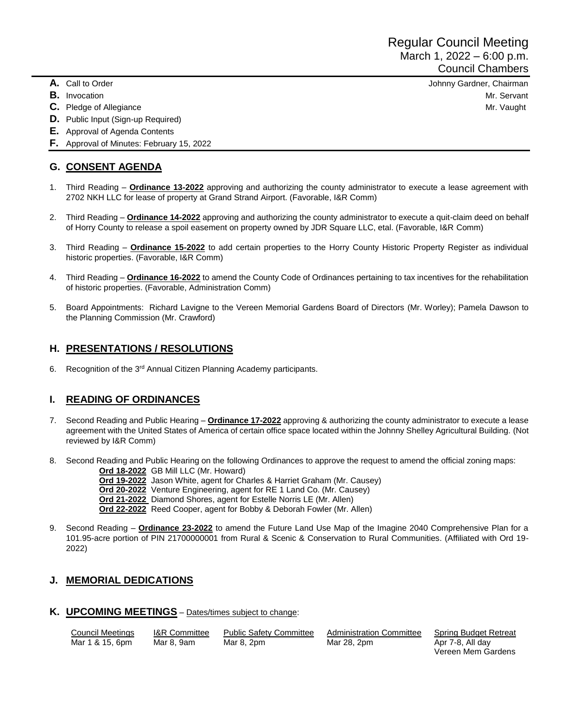- 
- 
- 
- **D.** Public Input (Sign-up Required)
- **E.** Approval of Agenda Contents
- **F.** Approval of Minutes: February 15, 2022

# **G. CONSENT AGENDA**

- 1. Third Reading **Ordinance 13-2022** approving and authorizing the county administrator to execute a lease agreement with 2702 NKH LLC for lease of property at Grand Strand Airport. (Favorable, I&R Comm)
- 2. Third Reading **Ordinance 14-2022** approving and authorizing the county administrator to execute a quit-claim deed on behalf of Horry County to release a spoil easement on property owned by JDR Square LLC, etal. (Favorable, I&R Comm)
- 3. Third Reading **Ordinance 15-2022** to add certain properties to the Horry County Historic Property Register as individual historic properties. (Favorable, I&R Comm)
- 4. Third Reading **Ordinance 16-2022** to amend the County Code of Ordinances pertaining to tax incentives for the rehabilitation of historic properties. (Favorable, Administration Comm)
- 5. Board Appointments: Richard Lavigne to the Vereen Memorial Gardens Board of Directors (Mr. Worley); Pamela Dawson to the Planning Commission (Mr. Crawford)

## **H. PRESENTATIONS / RESOLUTIONS**

6. Recognition of the 3<sup>rd</sup> Annual Citizen Planning Academy participants.

#### **I. READING OF ORDINANCES**

- 7. Second Reading and Public Hearing **Ordinance 17-2022** approving & authorizing the county administrator to execute a lease agreement with the United States of America of certain office space located within the Johnny Shelley Agricultural Building. (Not reviewed by I&R Comm)
- 8. Second Reading and Public Hearing on the following Ordinances to approve the request to amend the official zoning maps: **Ord 18-2022** GB Mill LLC (Mr. Howard)
	- **Ord 19-2022** Jason White, agent for Charles & Harriet Graham (Mr. Causey)
	- **Ord 20-2022** Venture Engineering, agent for RE 1 Land Co. (Mr. Causey)
	- **Ord 21-2022** Diamond Shores, agent for Estelle Norris LE (Mr. Allen)
	- **Ord 22-2022** Reed Cooper, agent for Bobby & Deborah Fowler (Mr. Allen)
- 9. Second Reading **Ordinance 23-2022** to amend the Future Land Use Map of the Imagine 2040 Comprehensive Plan for a 101.95-acre portion of PIN 21700000001 from Rural & Scenic & Conservation to Rural Communities. (Affiliated with Ord 19- 2022)

## **J. MEMORIAL DEDICATIONS**

# **K. UPCOMING MEETINGS** – Dates/times subject to change:

| Council Meetings | <b>I&amp;R Committee</b> | <b>Public Safety Committee</b> | Administration Committee | Spring Budget Retreat |
|------------------|--------------------------|--------------------------------|--------------------------|-----------------------|
| Mar 1 & 15, 6pm  | Mar 8. 9am               | Mar 8, 2pm                     | Mar 28, 2pm              | Apr 7-8, All day      |
|                  |                          |                                |                          | Vereen Mem Gardens    |

**A.** Call to Order Johnny Gardner, Chairman **B.** Invocation Mr. Servant **C.** Pledge of Allegiance Mr. Vaught